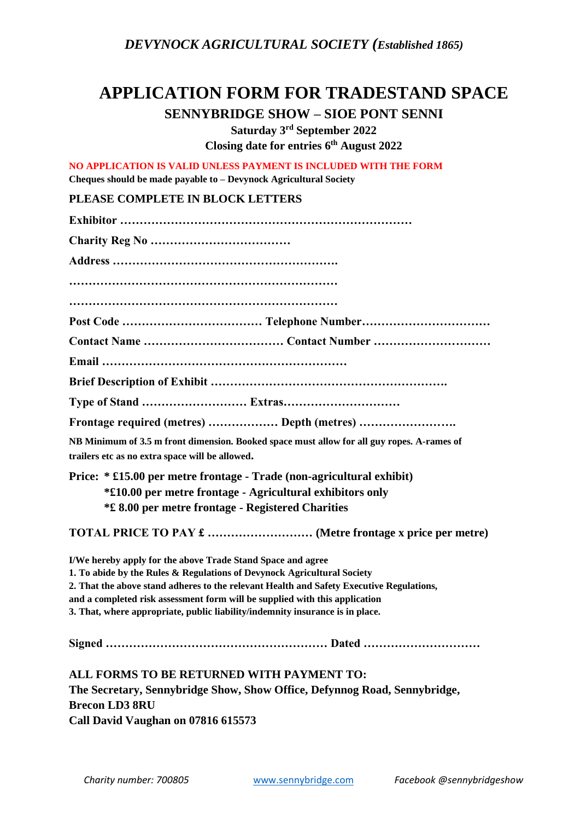*DEVYNOCK AGRICULTURAL SOCIETY (Established 1865)*

## **APPLICATION FORM FOR TRADESTAND SPACE**

**SENNYBRIDGE SHOW – SIOE PONT SENNI**

**Saturday 3 rd September 2022 Closing date for entries 6 th August 2022**

**NO APPLICATION IS VALID UNLESS PAYMENT IS INCLUDED WITH THE FORM Cheques should be made payable to – Devynock Agricultural Society**

## **PLEASE COMPLETE IN BLOCK LETTERS**

| Frontage required (metres)  Depth (metres)                                                                                                    |  |  |
|-----------------------------------------------------------------------------------------------------------------------------------------------|--|--|
|                                                                                                                                               |  |  |
| NB Minimum of 3.5 m front dimension. Booked space must allow for all guy ropes. A-rames of<br>trailers etc as no extra space will be allowed. |  |  |
| Price: * £15.00 per metre frontage - Trade (non-agricultural exhibit)                                                                         |  |  |
| *£10.00 per metre frontage - Agricultural exhibitors only                                                                                     |  |  |
| <b>*£ 8.00 per metre frontage - Registered Charities</b>                                                                                      |  |  |
|                                                                                                                                               |  |  |
| I/We hereby apply for the above Trade Stand Space and agree                                                                                   |  |  |
| 1. To abide by the Rules & Regulations of Devynock Agricultural Society                                                                       |  |  |
| 2. That the above stand adheres to the relevant Health and Safety Executive Regulations,                                                      |  |  |
| and a completed risk assessment form will be supplied with this application                                                                   |  |  |
| 3. That, where appropriate, public liability/indemnity insurance is in place.                                                                 |  |  |
| Signed<br>Dated                                                                                                                               |  |  |
| ALL FORMS TO BE RETURNED WITH PAYMENT TO:                                                                                                     |  |  |
| The Secretary, Sennybridge Show, Show Office, Defynnog Road, Sennybridge,                                                                     |  |  |
| <b>Brecon LD3 8RU</b>                                                                                                                         |  |  |
| Call David Vaughan on 07816 615573                                                                                                            |  |  |